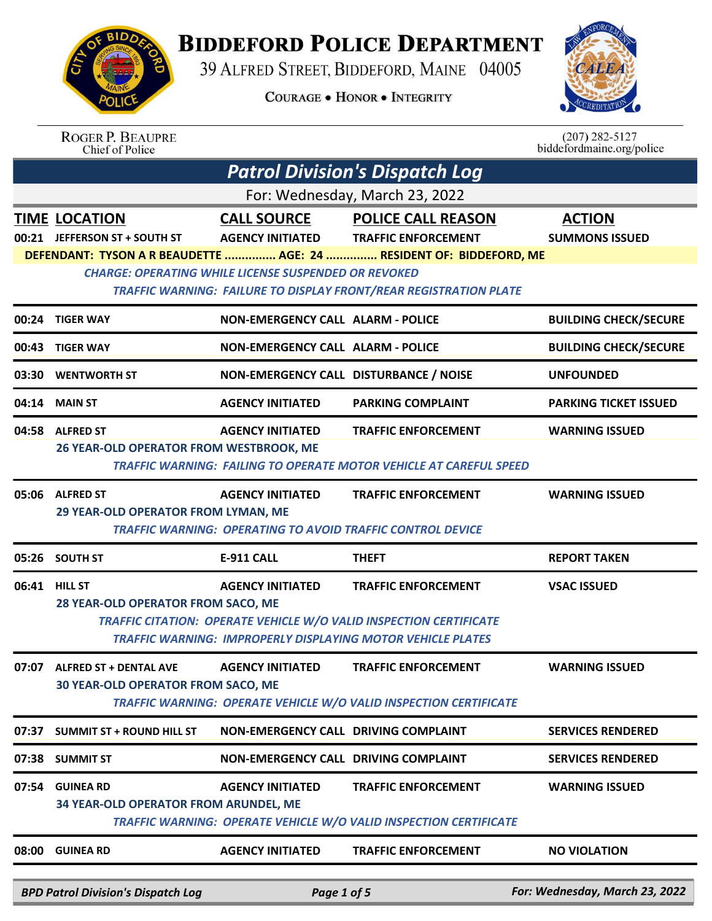

## **BIDDEFORD POLICE DEPARTMENT**

39 ALFRED STREET, BIDDEFORD, MAINE 04005

**COURAGE . HONOR . INTEGRITY** 



ROGER P. BEAUPRE<br>Chief of Police

 $(207)$  282-5127<br>biddefordmaine.org/police

| <b>Patrol Division's Dispatch Log</b> |                                                                     |                                                             |                                                                                                                                                                              |                                        |  |
|---------------------------------------|---------------------------------------------------------------------|-------------------------------------------------------------|------------------------------------------------------------------------------------------------------------------------------------------------------------------------------|----------------------------------------|--|
| For: Wednesday, March 23, 2022        |                                                                     |                                                             |                                                                                                                                                                              |                                        |  |
|                                       | <b>TIME LOCATION</b><br>00:21 JEFFERSON ST + SOUTH ST               | <b>CALL SOURCE</b><br><b>AGENCY INITIATED</b>               | <b>POLICE CALL REASON</b><br><b>TRAFFIC ENFORCEMENT</b>                                                                                                                      | <b>ACTION</b><br><b>SUMMONS ISSUED</b> |  |
|                                       |                                                                     | <b>CHARGE: OPERATING WHILE LICENSE SUSPENDED OR REVOKED</b> | DEFENDANT: TYSON A R BEAUDETTE  AGE: 24  RESIDENT OF: BIDDEFORD, ME<br><b>TRAFFIC WARNING: FAILURE TO DISPLAY FRONT/REAR REGISTRATION PLATE</b>                              |                                        |  |
|                                       | 00:24 TIGER WAY                                                     | <b>NON-EMERGENCY CALL ALARM - POLICE</b>                    |                                                                                                                                                                              | <b>BUILDING CHECK/SECURE</b>           |  |
|                                       | 00:43 TIGER WAY                                                     | <b>NON-EMERGENCY CALL ALARM - POLICE</b>                    |                                                                                                                                                                              | <b>BUILDING CHECK/SECURE</b>           |  |
|                                       | 03:30 WENTWORTH ST                                                  | NON-EMERGENCY CALL DISTURBANCE / NOISE                      |                                                                                                                                                                              | <b>UNFOUNDED</b>                       |  |
| 04:14                                 | <b>MAIN ST</b>                                                      | <b>AGENCY INITIATED</b>                                     | <b>PARKING COMPLAINT</b>                                                                                                                                                     | <b>PARKING TICKET ISSUED</b>           |  |
| 04:58                                 | <b>ALFRED ST</b><br><b>26 YEAR-OLD OPERATOR FROM WESTBROOK, ME</b>  | <b>AGENCY INITIATED</b>                                     | <b>TRAFFIC ENFORCEMENT</b><br><b>TRAFFIC WARNING: FAILING TO OPERATE MOTOR VEHICLE AT CAREFUL SPEED</b>                                                                      | <b>WARNING ISSUED</b>                  |  |
|                                       | 05:06 ALFRED ST<br>29 YEAR-OLD OPERATOR FROM LYMAN, ME              | <b>AGENCY INITIATED</b>                                     | <b>TRAFFIC ENFORCEMENT</b><br><b>TRAFFIC WARNING: OPERATING TO AVOID TRAFFIC CONTROL DEVICE</b>                                                                              | <b>WARNING ISSUED</b>                  |  |
|                                       | 05:26 SOUTH ST                                                      | <b>E-911 CALL</b>                                           | <b>THEFT</b>                                                                                                                                                                 | <b>REPORT TAKEN</b>                    |  |
|                                       |                                                                     |                                                             |                                                                                                                                                                              |                                        |  |
|                                       | 06:41 HILL ST<br>28 YEAR-OLD OPERATOR FROM SACO, ME                 | <b>AGENCY INITIATED</b>                                     | <b>TRAFFIC ENFORCEMENT</b><br>TRAFFIC CITATION: OPERATE VEHICLE W/O VALID INSPECTION CERTIFICATE                                                                             | <b>VSAC ISSUED</b>                     |  |
| 07:07                                 | <b>ALFRED ST + DENTAL AVE</b><br>30 YEAR-OLD OPERATOR FROM SACO, ME | <b>AGENCY INITIATED</b>                                     | <b>TRAFFIC WARNING: IMPROPERLY DISPLAYING MOTOR VEHICLE PLATES</b><br><b>TRAFFIC ENFORCEMENT</b><br><b>TRAFFIC WARNING: OPERATE VEHICLE W/O VALID INSPECTION CERTIFICATE</b> | <b>WARNING ISSUED</b>                  |  |
| 07:37                                 | <b>SUMMIT ST + ROUND HILL ST</b>                                    | NON-EMERGENCY CALL DRIVING COMPLAINT                        |                                                                                                                                                                              | <b>SERVICES RENDERED</b>               |  |
|                                       | 07:38 SUMMIT ST                                                     | NON-EMERGENCY CALL DRIVING COMPLAINT                        |                                                                                                                                                                              | <b>SERVICES RENDERED</b>               |  |
| 07:54                                 | <b>GUINEA RD</b><br><b>34 YEAR-OLD OPERATOR FROM ARUNDEL, ME</b>    | <b>AGENCY INITIATED</b>                                     | <b>TRAFFIC ENFORCEMENT</b><br><b>TRAFFIC WARNING: OPERATE VEHICLE W/O VALID INSPECTION CERTIFICATE</b>                                                                       | <b>WARNING ISSUED</b>                  |  |
|                                       | 08:00 GUINEA RD                                                     | <b>AGENCY INITIATED</b>                                     | <b>TRAFFIC ENFORCEMENT</b>                                                                                                                                                   | <b>NO VIOLATION</b>                    |  |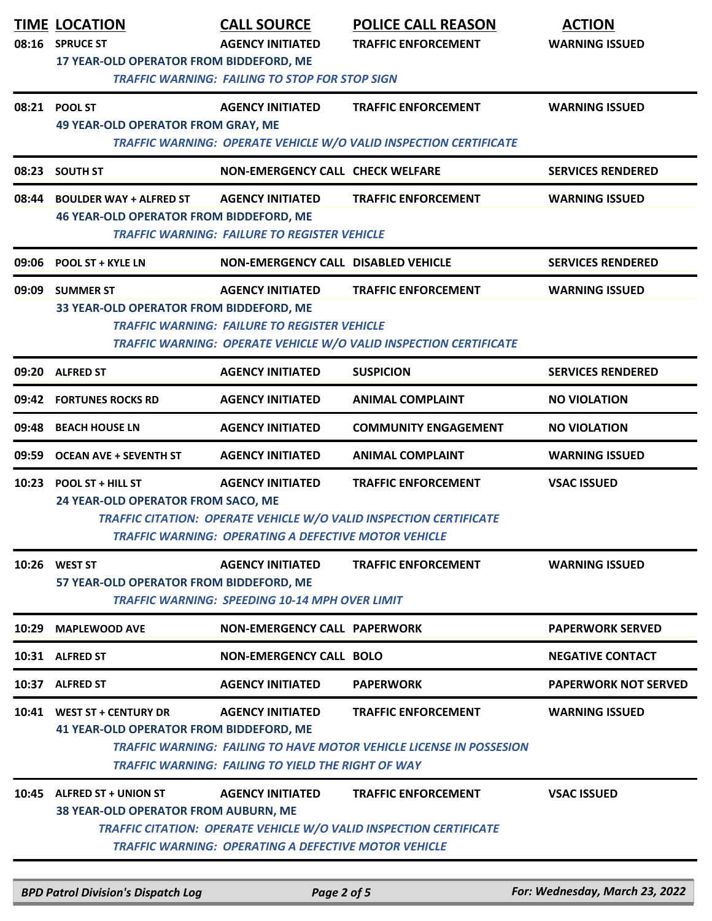|       | <b>TIME LOCATION</b><br>08:16 SPRUCE ST                                                          | <b>CALL SOURCE</b><br><b>AGENCY INITIATED</b>                                          | <b>POLICE CALL REASON</b><br><b>TRAFFIC ENFORCEMENT</b>                                                  | <b>ACTION</b><br><b>WARNING ISSUED</b> |  |
|-------|--------------------------------------------------------------------------------------------------|----------------------------------------------------------------------------------------|----------------------------------------------------------------------------------------------------------|----------------------------------------|--|
|       | 17 YEAR-OLD OPERATOR FROM BIDDEFORD, ME<br><b>TRAFFIC WARNING: FAILING TO STOP FOR STOP SIGN</b> |                                                                                        |                                                                                                          |                                        |  |
|       | 08:21 POOL ST<br><b>49 YEAR-OLD OPERATOR FROM GRAY, ME</b>                                       | <b>AGENCY INITIATED</b>                                                                | <b>TRAFFIC ENFORCEMENT</b><br>TRAFFIC WARNING: OPERATE VEHICLE W/O VALID INSPECTION CERTIFICATE          | <b>WARNING ISSUED</b>                  |  |
| 08:23 | <b>SOUTH ST</b>                                                                                  | <b>NON-EMERGENCY CALL CHECK WELFARE</b>                                                |                                                                                                          | <b>SERVICES RENDERED</b>               |  |
| 08:44 | <b>BOULDER WAY + ALFRED ST</b><br><b>46 YEAR-OLD OPERATOR FROM BIDDEFORD, ME</b>                 | <b>AGENCY INITIATED</b><br><b>TRAFFIC WARNING: FAILURE TO REGISTER VEHICLE</b>         | <b>TRAFFIC ENFORCEMENT</b>                                                                               | <b>WARNING ISSUED</b>                  |  |
| 09:06 | <b>POOL ST + KYLE LN</b>                                                                         | <b>NON-EMERGENCY CALL DISABLED VEHICLE</b>                                             |                                                                                                          | <b>SERVICES RENDERED</b>               |  |
|       | 09:09 SUMMER ST<br>33 YEAR-OLD OPERATOR FROM BIDDEFORD, ME                                       | <b>AGENCY INITIATED</b><br><b>TRAFFIC WARNING: FAILURE TO REGISTER VEHICLE</b>         | <b>TRAFFIC ENFORCEMENT</b><br>TRAFFIC WARNING: OPERATE VEHICLE W/O VALID INSPECTION CERTIFICATE          | <b>WARNING ISSUED</b>                  |  |
|       | 09:20 ALFRED ST                                                                                  | <b>AGENCY INITIATED</b>                                                                | <b>SUSPICION</b>                                                                                         | <b>SERVICES RENDERED</b>               |  |
| 09:42 | <b>FORTUNES ROCKS RD</b>                                                                         | <b>AGENCY INITIATED</b>                                                                | <b>ANIMAL COMPLAINT</b>                                                                                  | <b>NO VIOLATION</b>                    |  |
| 09:48 | <b>BEACH HOUSE LN</b>                                                                            | <b>AGENCY INITIATED</b>                                                                | <b>COMMUNITY ENGAGEMENT</b>                                                                              | <b>NO VIOLATION</b>                    |  |
| 09:59 | <b>OCEAN AVE + SEVENTH ST</b>                                                                    | <b>AGENCY INITIATED</b>                                                                | <b>ANIMAL COMPLAINT</b>                                                                                  | <b>WARNING ISSUED</b>                  |  |
|       | 10:23 POOL ST + HILL ST<br>24 YEAR-OLD OPERATOR FROM SACO, ME                                    | <b>AGENCY INITIATED</b><br>TRAFFIC WARNING: OPERATING A DEFECTIVE MOTOR VEHICLE        | <b>TRAFFIC ENFORCEMENT</b><br>TRAFFIC CITATION: OPERATE VEHICLE W/O VALID INSPECTION CERTIFICATE         | <b>VSAC ISSUED</b>                     |  |
|       | 10:26 WEST ST<br>57 YEAR-OLD OPERATOR FROM BIDDEFORD, ME                                         | <b>AGENCY INITIATED</b><br><b>TRAFFIC WARNING: SPEEDING 10-14 MPH OVER LIMIT</b>       | <b>TRAFFIC ENFORCEMENT</b>                                                                               | <b>WARNING ISSUED</b>                  |  |
| 10:29 | <b>MAPLEWOOD AVE</b>                                                                             | <b>NON-EMERGENCY CALL PAPERWORK</b>                                                    |                                                                                                          | <b>PAPERWORK SERVED</b>                |  |
|       | 10:31 ALFRED ST                                                                                  | <b>NON-EMERGENCY CALL BOLO</b>                                                         |                                                                                                          | <b>NEGATIVE CONTACT</b>                |  |
| 10:37 | <b>ALFRED ST</b>                                                                                 | <b>AGENCY INITIATED</b>                                                                | <b>PAPERWORK</b>                                                                                         | <b>PAPERWORK NOT SERVED</b>            |  |
|       | 10:41 WEST ST + CENTURY DR<br><b>41 YEAR-OLD OPERATOR FROM BIDDEFORD, ME</b>                     | <b>AGENCY INITIATED</b><br><b>TRAFFIC WARNING: FAILING TO YIELD THE RIGHT OF WAY</b>   | <b>TRAFFIC ENFORCEMENT</b><br><b>TRAFFIC WARNING: FAILING TO HAVE MOTOR VEHICLE LICENSE IN POSSESION</b> | <b>WARNING ISSUED</b>                  |  |
|       | 10:45 ALFRED ST + UNION ST<br><b>38 YEAR-OLD OPERATOR FROM AUBURN, ME</b>                        | <b>AGENCY INITIATED</b><br><b>TRAFFIC WARNING: OPERATING A DEFECTIVE MOTOR VEHICLE</b> | <b>TRAFFIC ENFORCEMENT</b><br><b>TRAFFIC CITATION: OPERATE VEHICLE W/O VALID INSPECTION CERTIFICATE</b>  | <b>VSAC ISSUED</b>                     |  |

*BPD Patrol Division's Dispatch Log Page 2 of 5 For: Wednesday, March 23, 2022*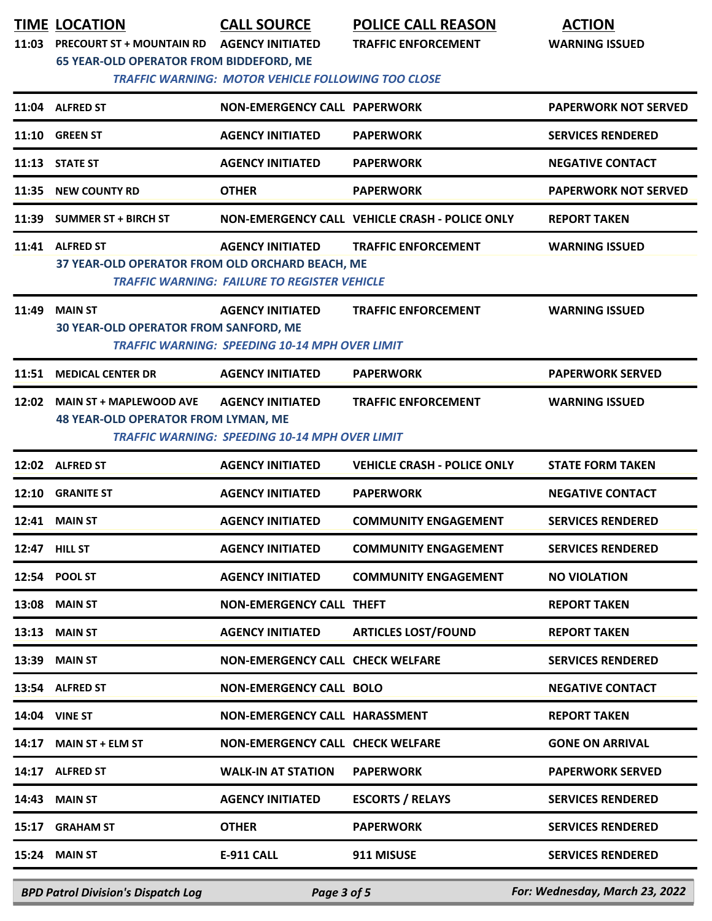| 11:03 | <b>TIME LOCATION</b><br><b>PRECOURT ST + MOUNTAIN RD</b><br>65 YEAR-OLD OPERATOR FROM BIDDEFORD, ME | <b>CALL SOURCE</b><br><b>AGENCY INITIATED</b><br><b>TRAFFIC WARNING: MOTOR VEHICLE FOLLOWING TOO CLOSE</b> | <b>POLICE CALL REASON</b><br><b>TRAFFIC ENFORCEMENT</b> | <b>ACTION</b><br><b>WARNING ISSUED</b> |
|-------|-----------------------------------------------------------------------------------------------------|------------------------------------------------------------------------------------------------------------|---------------------------------------------------------|----------------------------------------|
|       | 11:04 ALFRED ST                                                                                     | <b>NON-EMERGENCY CALL PAPERWORK</b>                                                                        |                                                         | <b>PAPERWORK NOT SERVED</b>            |
|       | 11:10 GREEN ST                                                                                      | <b>AGENCY INITIATED</b>                                                                                    | <b>PAPERWORK</b>                                        | <b>SERVICES RENDERED</b>               |
|       | 11:13 STATE ST                                                                                      | <b>AGENCY INITIATED</b>                                                                                    | <b>PAPERWORK</b>                                        | <b>NEGATIVE CONTACT</b>                |
| 11:35 | <b>NEW COUNTY RD</b>                                                                                | <b>OTHER</b>                                                                                               | <b>PAPERWORK</b>                                        | <b>PAPERWORK NOT SERVED</b>            |
| 11:39 | <b>SUMMER ST + BIRCH ST</b>                                                                         |                                                                                                            | NON-EMERGENCY CALL VEHICLE CRASH - POLICE ONLY          | <b>REPORT TAKEN</b>                    |
|       | 11:41 ALFRED ST<br>37 YEAR-OLD OPERATOR FROM OLD ORCHARD BEACH, ME                                  | <b>AGENCY INITIATED</b><br><b>TRAFFIC WARNING: FAILURE TO REGISTER VEHICLE</b>                             | <b>TRAFFIC ENFORCEMENT</b>                              | <b>WARNING ISSUED</b>                  |
| 11:49 | <b>MAIN ST</b><br><b>30 YEAR-OLD OPERATOR FROM SANFORD, ME</b>                                      | <b>AGENCY INITIATED</b><br><b>TRAFFIC WARNING: SPEEDING 10-14 MPH OVER LIMIT</b>                           | <b>TRAFFIC ENFORCEMENT</b>                              | <b>WARNING ISSUED</b>                  |
| 11:51 | <b>MEDICAL CENTER DR</b>                                                                            | <b>AGENCY INITIATED</b>                                                                                    | <b>PAPERWORK</b>                                        | <b>PAPERWORK SERVED</b>                |
| 12:02 | <b>MAIN ST + MAPLEWOOD AVE</b><br><b>48 YEAR-OLD OPERATOR FROM LYMAN, ME</b>                        | <b>AGENCY INITIATED</b><br><b>TRAFFIC WARNING: SPEEDING 10-14 MPH OVER LIMIT</b>                           | <b>TRAFFIC ENFORCEMENT</b>                              | <b>WARNING ISSUED</b>                  |
|       | 12:02 ALFRED ST                                                                                     | <b>AGENCY INITIATED</b>                                                                                    | <b>VEHICLE CRASH - POLICE ONLY</b>                      | <b>STATE FORM TAKEN</b>                |
| 12:10 | <b>GRANITE ST</b>                                                                                   | <b>AGENCY INITIATED</b>                                                                                    | <b>PAPERWORK</b>                                        | <b>NEGATIVE CONTACT</b>                |
| 12:41 | <b>MAIN ST</b>                                                                                      | <b>AGENCY INITIATED</b>                                                                                    | <b>COMMUNITY ENGAGEMENT</b>                             | <b>SERVICES RENDERED</b>               |
|       | 12:47 HILL ST                                                                                       | <b>AGENCY INITIATED</b>                                                                                    | <b>COMMUNITY ENGAGEMENT</b>                             | <b>SERVICES RENDERED</b>               |
|       | 12:54 POOL ST                                                                                       | <b>AGENCY INITIATED</b>                                                                                    | <b>COMMUNITY ENGAGEMENT</b>                             | <b>NO VIOLATION</b>                    |
|       | <b>13:08 MAIN ST</b>                                                                                | <b>NON-EMERGENCY CALL THEFT</b>                                                                            |                                                         | <b>REPORT TAKEN</b>                    |
| 13:13 | <b>MAIN ST</b>                                                                                      | <b>AGENCY INITIATED</b>                                                                                    | <b>ARTICLES LOST/FOUND</b>                              | <b>REPORT TAKEN</b>                    |
| 13:39 | <b>MAIN ST</b>                                                                                      | <b>NON-EMERGENCY CALL CHECK WELFARE</b>                                                                    |                                                         | <b>SERVICES RENDERED</b>               |
|       | 13:54 ALFRED ST                                                                                     | <b>NON-EMERGENCY CALL BOLO</b>                                                                             |                                                         | <b>NEGATIVE CONTACT</b>                |
|       | 14:04 VINE ST                                                                                       | NON-EMERGENCY CALL HARASSMENT                                                                              |                                                         | <b>REPORT TAKEN</b>                    |
| 14:17 | <b>MAIN ST + ELM ST</b>                                                                             | <b>NON-EMERGENCY CALL CHECK WELFARE</b>                                                                    |                                                         | <b>GONE ON ARRIVAL</b>                 |
| 14:17 | <b>ALFRED ST</b>                                                                                    | <b>WALK-IN AT STATION</b>                                                                                  | <b>PAPERWORK</b>                                        | <b>PAPERWORK SERVED</b>                |
| 14:43 | <b>MAIN ST</b>                                                                                      | <b>AGENCY INITIATED</b>                                                                                    | <b>ESCORTS / RELAYS</b>                                 | <b>SERVICES RENDERED</b>               |
| 15:17 | <b>GRAHAM ST</b>                                                                                    | <b>OTHER</b>                                                                                               | <b>PAPERWORK</b>                                        | <b>SERVICES RENDERED</b>               |
| 15:24 | <b>MAIN ST</b>                                                                                      | <b>E-911 CALL</b>                                                                                          | 911 MISUSE                                              | <b>SERVICES RENDERED</b>               |

*BPD Patrol Division's Dispatch Log Page 3 of 5 For: Wednesday, March 23, 2022*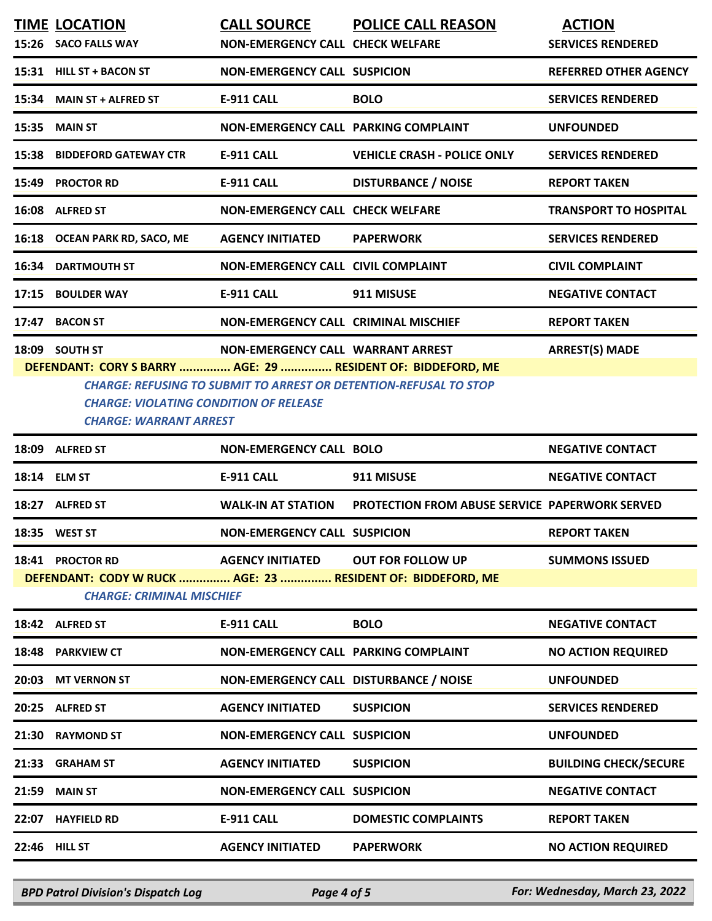|                                                                                                                                                                                                                                                                                                            | <b>TIME LOCATION</b><br>15:26 SACO FALLS WAY | <b>CALL SOURCE</b><br><b>NON-EMERGENCY CALL CHECK WELFARE</b> | <b>POLICE CALL REASON</b>                             | <b>ACTION</b><br><b>SERVICES RENDERED</b> |
|------------------------------------------------------------------------------------------------------------------------------------------------------------------------------------------------------------------------------------------------------------------------------------------------------------|----------------------------------------------|---------------------------------------------------------------|-------------------------------------------------------|-------------------------------------------|
|                                                                                                                                                                                                                                                                                                            | 15:31 HILL ST + BACON ST                     | <b>NON-EMERGENCY CALL SUSPICION</b>                           |                                                       | <b>REFERRED OTHER AGENCY</b>              |
|                                                                                                                                                                                                                                                                                                            | 15:34 MAIN ST + ALFRED ST                    | <b>E-911 CALL</b>                                             | <b>BOLO</b>                                           | <b>SERVICES RENDERED</b>                  |
| 15:35                                                                                                                                                                                                                                                                                                      | <b>MAIN ST</b>                               | NON-EMERGENCY CALL PARKING COMPLAINT                          |                                                       | <b>UNFOUNDED</b>                          |
| 15:38                                                                                                                                                                                                                                                                                                      | <b>BIDDEFORD GATEWAY CTR</b>                 | <b>E-911 CALL</b>                                             | <b>VEHICLE CRASH - POLICE ONLY</b>                    | <b>SERVICES RENDERED</b>                  |
| 15:49                                                                                                                                                                                                                                                                                                      | <b>PROCTOR RD</b>                            | <b>E-911 CALL</b>                                             | <b>DISTURBANCE / NOISE</b>                            | <b>REPORT TAKEN</b>                       |
|                                                                                                                                                                                                                                                                                                            | 16:08 ALFRED ST                              | <b>NON-EMERGENCY CALL CHECK WELFARE</b>                       |                                                       | <b>TRANSPORT TO HOSPITAL</b>              |
|                                                                                                                                                                                                                                                                                                            | 16:18 OCEAN PARK RD, SACO, ME                | <b>AGENCY INITIATED</b>                                       | <b>PAPERWORK</b>                                      | <b>SERVICES RENDERED</b>                  |
| 16:34                                                                                                                                                                                                                                                                                                      | <b>DARTMOUTH ST</b>                          | <b>NON-EMERGENCY CALL CIVIL COMPLAINT</b>                     |                                                       | <b>CIVIL COMPLAINT</b>                    |
| 17:15                                                                                                                                                                                                                                                                                                      | <b>BOULDER WAY</b>                           | <b>E-911 CALL</b>                                             | 911 MISUSE                                            | <b>NEGATIVE CONTACT</b>                   |
| 17:47                                                                                                                                                                                                                                                                                                      | <b>BACON ST</b>                              | NON-EMERGENCY CALL CRIMINAL MISCHIEF                          |                                                       | <b>REPORT TAKEN</b>                       |
| 18:09 SOUTH ST<br>NON-EMERGENCY CALL WARRANT ARREST<br><b>ARREST(S) MADE</b><br>DEFENDANT: CORY S BARRY  AGE: 29  RESIDENT OF: BIDDEFORD, ME<br><b>CHARGE: REFUSING TO SUBMIT TO ARREST OR DETENTION-REFUSAL TO STOP</b><br><b>CHARGE: VIOLATING CONDITION OF RELEASE</b><br><b>CHARGE: WARRANT ARREST</b> |                                              |                                                               |                                                       |                                           |
|                                                                                                                                                                                                                                                                                                            | 18:09 ALFRED ST                              | <b>NON-EMERGENCY CALL BOLO</b>                                |                                                       | <b>NEGATIVE CONTACT</b>                   |
|                                                                                                                                                                                                                                                                                                            | 18:14 ELM ST                                 | <b>E-911 CALL</b>                                             | 911 MISUSE                                            | <b>NEGATIVE CONTACT</b>                   |
|                                                                                                                                                                                                                                                                                                            | 18:27 ALFRED ST                              | <b>WALK-IN AT STATION</b>                                     | <b>PROTECTION FROM ABUSE SERVICE PAPERWORK SERVED</b> |                                           |
|                                                                                                                                                                                                                                                                                                            | 18:35 WEST ST                                | <b>NON-EMERGENCY CALL SUSPICION</b>                           |                                                       | <b>REPORT TAKEN</b>                       |
| 18:41 PROCTOR RD<br><b>AGENCY INITIATED</b><br><b>OUT FOR FOLLOW UP</b><br><b>SUMMONS ISSUED</b><br>DEFENDANT: CODY W RUCK  AGE: 23  RESIDENT OF: BIDDEFORD, ME<br><b>CHARGE: CRIMINAL MISCHIEF</b>                                                                                                        |                                              |                                                               |                                                       |                                           |
|                                                                                                                                                                                                                                                                                                            | 18:42 ALFRED ST                              | <b>E-911 CALL</b>                                             | <b>BOLO</b>                                           | <b>NEGATIVE CONTACT</b>                   |
|                                                                                                                                                                                                                                                                                                            | 18:48 PARKVIEW CT                            | NON-EMERGENCY CALL PARKING COMPLAINT                          |                                                       | <b>NO ACTION REQUIRED</b>                 |
|                                                                                                                                                                                                                                                                                                            | 20:03 MT VERNON ST                           | NON-EMERGENCY CALL DISTURBANCE / NOISE                        |                                                       | <b>UNFOUNDED</b>                          |
|                                                                                                                                                                                                                                                                                                            | 20:25 ALFRED ST                              | <b>AGENCY INITIATED</b>                                       | <b>SUSPICION</b>                                      | <b>SERVICES RENDERED</b>                  |
| 21:30                                                                                                                                                                                                                                                                                                      | <b>RAYMOND ST</b>                            | <b>NON-EMERGENCY CALL SUSPICION</b>                           |                                                       | <b>UNFOUNDED</b>                          |
|                                                                                                                                                                                                                                                                                                            | 21:33 GRAHAM ST                              | <b>AGENCY INITIATED</b>                                       | <b>SUSPICION</b>                                      | <b>BUILDING CHECK/SECURE</b>              |
| 21:59                                                                                                                                                                                                                                                                                                      | <b>MAIN ST</b>                               | <b>NON-EMERGENCY CALL SUSPICION</b>                           |                                                       | <b>NEGATIVE CONTACT</b>                   |
|                                                                                                                                                                                                                                                                                                            | 22:07 HAYFIELD RD                            | <b>E-911 CALL</b>                                             | <b>DOMESTIC COMPLAINTS</b>                            | <b>REPORT TAKEN</b>                       |
|                                                                                                                                                                                                                                                                                                            | 22:46 HILL ST                                | <b>AGENCY INITIATED</b>                                       | <b>PAPERWORK</b>                                      | <b>NO ACTION REQUIRED</b>                 |

*BPD Patrol Division's Dispatch Log Page 4 of 5 For: Wednesday, March 23, 2022*